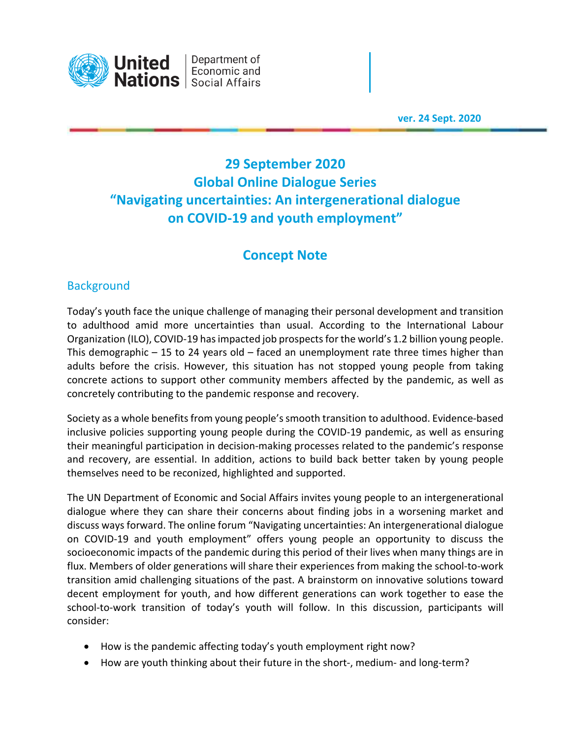

Department of Economic and

 **ver. 24 Sept. 2020** 

# **29 September 2020 Global Online Dialogue Series "Navigating uncertainties: An intergenerational dialogue on COVID-19 and youth employment"**

## **Concept Note**

### **Background**

Today's youth face the unique challenge of managing their personal development and transition to adulthood amid more uncertainties than usual. According to the International Labour Organization (ILO), COVID-19 has impacted job prospects for the world's 1.2 billion young people. This demographic  $-15$  to 24 years old  $-$  faced an unemployment rate three times higher than adults before the crisis. However, this situation has not stopped young people from taking concrete actions to support other community members affected by the pandemic, as well as concretely contributing to the pandemic response and recovery.

Society as a whole benefits from young people's smooth transition to adulthood. Evidence-based inclusive policies supporting young people during the COVID-19 pandemic, as well as ensuring their meaningful participation in decision-making processes related to the pandemic's response and recovery, are essential. In addition, actions to build back better taken by young people themselves need to be reconized, highlighted and supported.

The UN Department of Economic and Social Affairs invites young people to an intergenerational dialogue where they can share their concerns about finding jobs in a worsening market and discuss ways forward. The online forum "Navigating uncertainties: An intergenerational dialogue on COVID-19 and youth employment" offers young people an opportunity to discuss the socioeconomic impacts of the pandemic during this period of their lives when many things are in flux. Members of older generations will share their experiences from making the school-to-work transition amid challenging situations of the past. A brainstorm on innovative solutions toward decent employment for youth, and how different generations can work together to ease the school-to-work transition of today's youth will follow. In this discussion, participants will consider:

- How is the pandemic affecting today's youth employment right now?
- How are youth thinking about their future in the short-, medium- and long-term?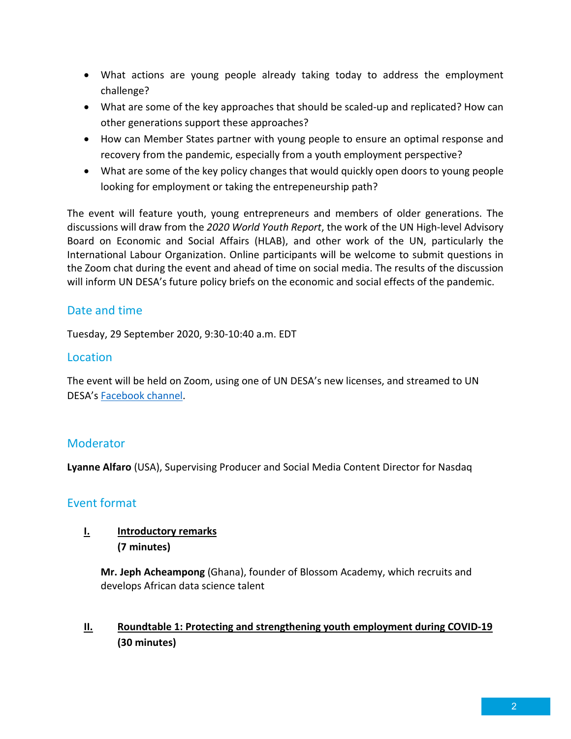- What actions are young people already taking today to address the employment challenge?
- What are some of the key approaches that should be scaled-up and replicated? How can other generations support these approaches?
- How can Member States partner with young people to ensure an optimal response and recovery from the pandemic, especially from a youth employment perspective?
- What are some of the key policy changes that would quickly open doors to young people looking for employment or taking the entrepeneurship path?

The event will feature youth, young entrepreneurs and members of older generations. The discussions will draw from the *2020 World Youth Report*, the work of the UN High-level Advisory Board on Economic and Social Affairs (HLAB), and other work of the UN, particularly the International Labour Organization. Online participants will be welcome to submit questions in the Zoom chat during the event and ahead of time on social media. The results of the discussion will inform UN DESA's future policy briefs on the economic and social effects of the pandemic.

### Date and time

Tuesday, 29 September 2020, 9:30-10:40 a.m. EDT

#### Location

The event will be held on Zoom, using one of UN DESA's new licenses, and streamed to UN DESA's Facebook channel.

## **Moderator**

**Lyanne Alfaro** (USA), Supervising Producer and Social Media Content Director for Nasdaq

#### Event format

#### **I. Introductory remarks (7 minutes)**

**Mr. Jeph Acheampong** (Ghana), founder of Blossom Academy, which recruits and develops African data science talent

**II. Roundtable 1: Protecting and strengthening youth employment during COVID-19 (30 minutes)**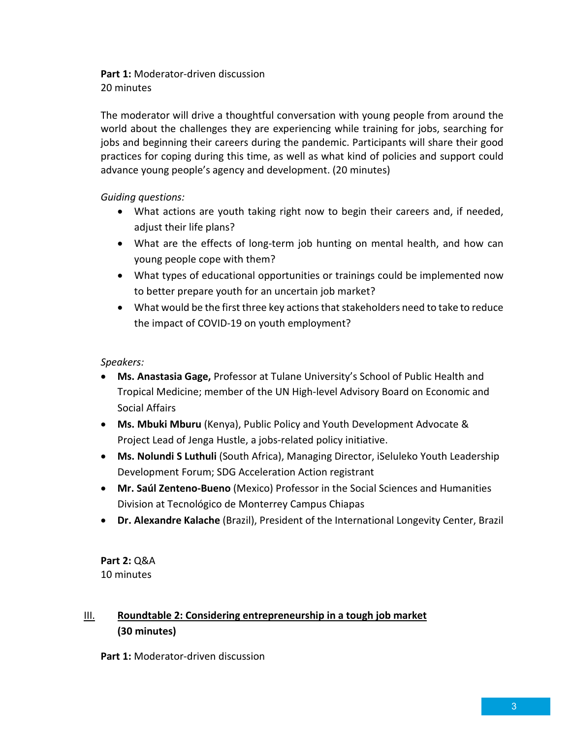**Part 1:** Moderator-driven discussion 20 minutes

The moderator will drive a thoughtful conversation with young people from around the world about the challenges they are experiencing while training for jobs, searching for jobs and beginning their careers during the pandemic. Participants will share their good practices for coping during this time, as well as what kind of policies and support could advance young people's agency and development. (20 minutes)

#### *Guiding questions:*

- What actions are youth taking right now to begin their careers and, if needed, adjust their life plans?
- What are the effects of long-term job hunting on mental health, and how can young people cope with them?
- What types of educational opportunities or trainings could be implemented now to better prepare youth for an uncertain job market?
- What would be the first three key actions that stakeholders need to take to reduce the impact of COVID-19 on youth employment?

#### *Speakers:*

- **Ms. Anastasia Gage,** Professor at Tulane University's School of Public Health and Tropical Medicine; member of the UN High-level Advisory Board on Economic and Social Affairs
- **Ms. Mbuki Mburu** (Kenya), Public Policy and Youth Development Advocate & Project Lead of Jenga Hustle, a jobs-related policy initiative.
- **Ms. Nolundi S Luthuli** (South Africa), Managing Director, iSeluleko Youth Leadership Development Forum; SDG Acceleration Action registrant
- **Mr. Saúl Zenteno-Bueno** (Mexico) Professor in the Social Sciences and Humanities Division at Tecnológico de Monterrey Campus Chiapas
- **Dr. Alexandre Kalache** (Brazil), President of the International Longevity Center, Brazil

**Part 2:** Q&A 10 minutes

### III. **Roundtable 2: Considering entrepreneurship in a tough job market (30 minutes)**

**Part 1:** Moderator-driven discussion